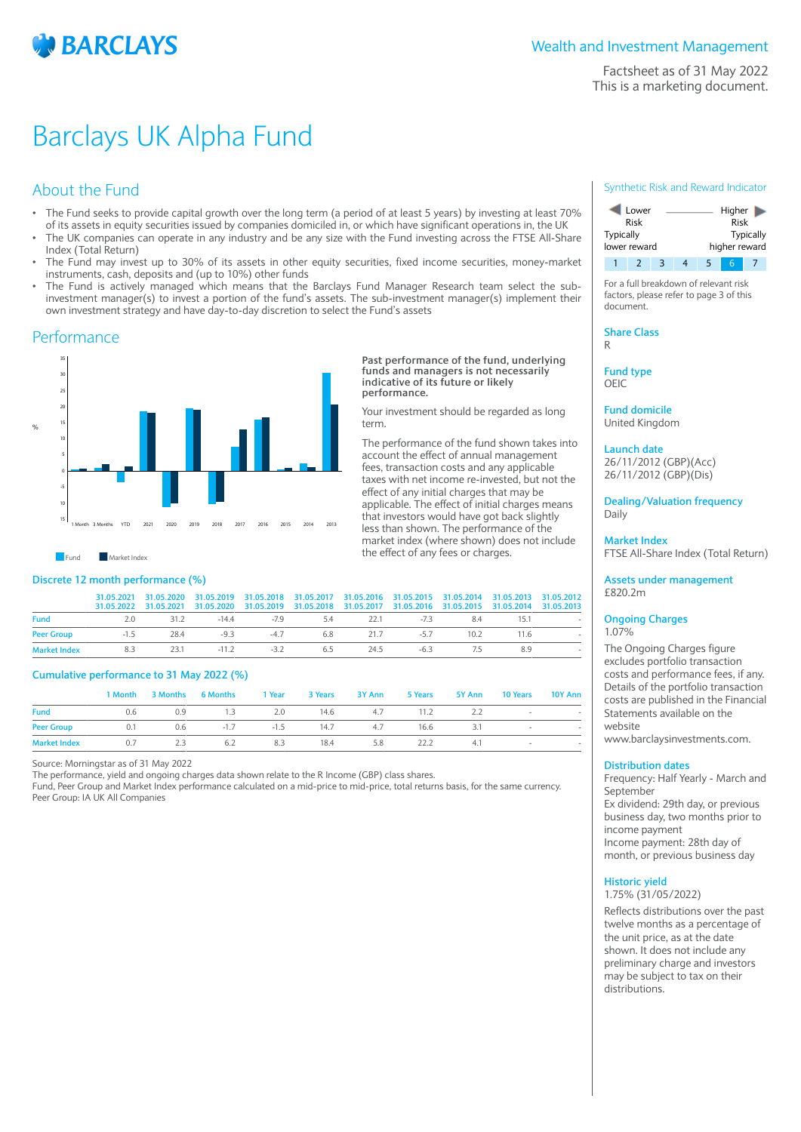

Factsheet as of 31 May 2022 This is a marketing document.

# Barclays UK Alpha Fund

# About the Fund

- The Fund seeks to provide capital growth over the long term (a period of at least 5 years) by investing at least 70% of its assets in equity securities issued by companies domiciled in, or which have significant operations in, the UK
- The UK companies can operate in any industry and be any size with the Fund investing across the FTSE All-Share Index (Total Return)
- The Fund may invest up to 30% of its assets in other equity securities, fixed income securities, money-market instruments, cash, deposits and (up to 10%) other funds
- The Fund is actively managed which means that the Barclays Fund Manager Research team select the subinvestment manager(s) to invest a portion of the fund's assets. The sub-investment manager(s) implement their own investment strategy and have day-to-day discretion to select the Fund's assets

## **Performance**



## **Discrete 12 month performance (%)**

|                                                                         | 31.05.2021 31.05.2020 31.05.2019 31.05.2018 31.05.2017 31.05.2016 31.05.2015 31.05.2014 31.05.2013 31.05.2012<br>31.05.2022 31.05.2021 31.05.2020 31.05.2019 31.05.2018 31.05.2017 31.05.2016 31.05.2015 31.05.2014 31.05.2013 |  |  |  |    |  |
|-------------------------------------------------------------------------|--------------------------------------------------------------------------------------------------------------------------------------------------------------------------------------------------------------------------------|--|--|--|----|--|
| <b>Fund</b>                                                             | 2.0 31.2 -14.4 -7.9 5.4 22.1 -7.3 8.4 15.1                                                                                                                                                                                     |  |  |  |    |  |
| Peer Group   1.5   28.4   -9.3   -4.7   6.8   21.7   -5.7   10.2   11.6 |                                                                                                                                                                                                                                |  |  |  |    |  |
| Market Index 8.3 23.1 - 11.2 - 3.2 6.5 24.5 - 6.3 7.5                   |                                                                                                                                                                                                                                |  |  |  | 89 |  |

## **Cumulative performance to 31 May 2022 (%)**

|                     |     |     | 1 Month 3 Months 6 Months 1 Year 3 Years 3 Y Ann 5 Years 5 Y Ann 10 Years 10 Y Ann |     |      |     |      |     |                |  |
|---------------------|-----|-----|------------------------------------------------------------------------------------|-----|------|-----|------|-----|----------------|--|
| <b>Fund</b>         | 0.6 | 0.9 | 1.3 2.0 14.6 4.7 11.2 2.2                                                          |     |      |     |      |     | $\sim$ 100 $-$ |  |
| <b>Peer Group</b>   | 0.1 |     | 0.6 $-1.7$ $-1.5$ 14.7 $4.7$ 16.6 3.1                                              |     |      |     |      |     |                |  |
| <b>Market Index</b> | 0.7 | 2.3 | 6.2                                                                                | 8.3 | 18.4 | 5.8 | 22.2 | 4.1 | $\sim$         |  |

Source: Morningstar as of 31 May 2022

The performance, yield and ongoing charges data shown relate to the R Income (GBP) class shares.

Fund, Peer Group and Market Index performance calculated on a mid-price to mid-price, total returns basis, for the same currency. Peer Group: IA UK All Companies

## Synthetic Risk and Reward Indicator



For a full breakdown of relevant risk factors, please refer to page 3 of this document.

**Share Class** R

**Fund type** OEIC

**Past performance of the fund, underlying funds and managers is not necessarily indicative of its future or likely**

Your investment should be regarded as long

The performance of the fund shown takes into account the effect of annual management fees, transaction costs and any applicable taxes with net income re-invested, but not the effect of any initial charges that may be applicable. The effect of initial charges means that investors would have got back slightly less than shown. The performance of the market index (where shown) does not include

the effect of any fees or charges.

**performance.**

term.

**Fund domicile** United Kingdom

### **Launch date** 26/11/2012 (GBP)(Acc)

26/11/2012 (GBP)(Dis)

**Dealing/Valuation frequency** Daily

**Market Index** FTSE All-Share Index (Total Return)

**Assets under management** £820.2m

### **Ongoing Charges** 1.07%

The Ongoing Charges figure excludes portfolio transaction costs and performance fees, if any. Details of the portfolio transaction costs are published in the Financial Statements available on the website www.barclaysinvestments.com.

## **Distribution dates**

Frequency: Half Yearly - March and September Ex dividend: 29th day, or previous business day, two months prior to income payment Income payment: 28th day of month, or previous business day

# **Historic yield**

1.75% (31/05/2022)

Reflects distributions over the past twelve months as a percentage of the unit price, as at the date shown. It does not include any preliminary charge and investors may be subject to tax on their distributions.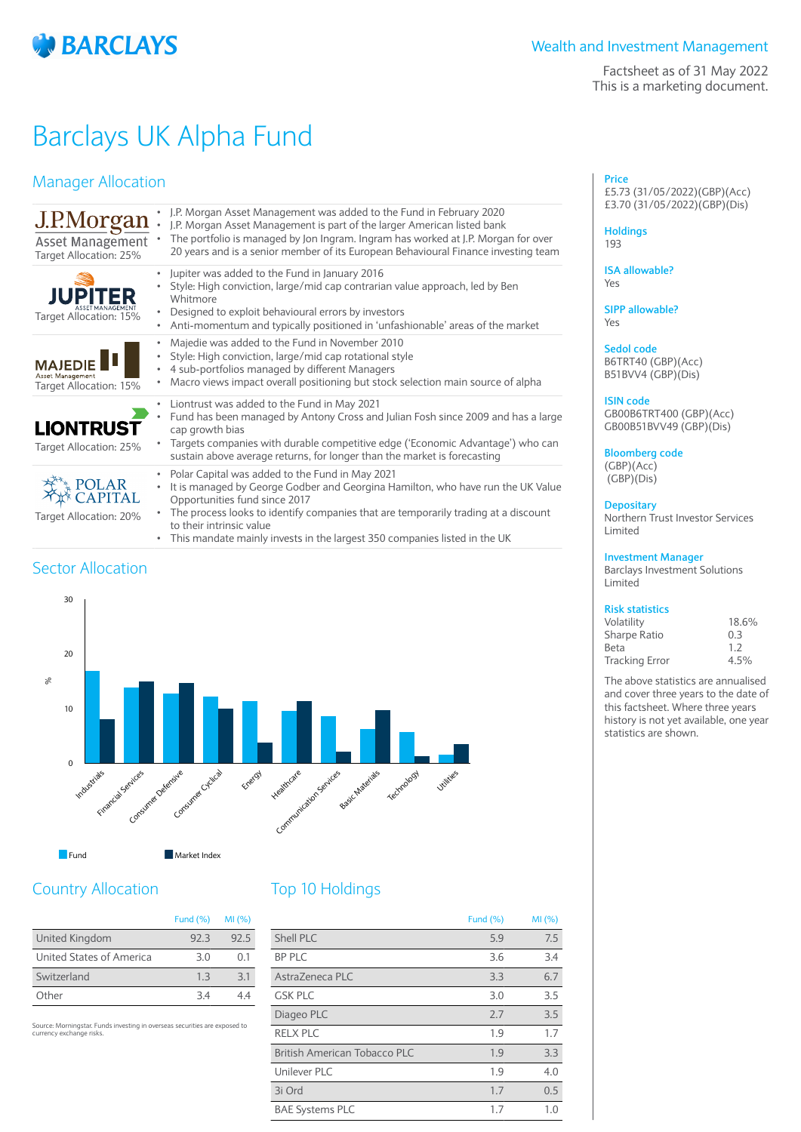

Factsheet as of 31 May 2022 This is a marketing document.

# Barclays UK Alpha Fund

# Manager Allocation

| J.P.Morgan<br>Asset Management<br>Target Allocation: 25%     | J.P. Morgan Asset Management was added to the Fund in February 2020<br>J.P. Morgan Asset Management is part of the larger American listed bank<br>The portfolio is managed by Jon Ingram. Ingram has worked at J.P. Morgan for over<br>20 years and is a senior member of its European Behavioural Finance investing team |
|--------------------------------------------------------------|---------------------------------------------------------------------------------------------------------------------------------------------------------------------------------------------------------------------------------------------------------------------------------------------------------------------------|
| <b>JUPITER</b><br>Target Allocation: 15%                     | Jupiter was added to the Fund in January 2016<br>٠<br>Style: High conviction, large/mid cap contrarian value approach, led by Ben<br>Whitmore<br>Designed to exploit behavioural errors by investors<br>Anti-momentum and typically positioned in 'unfashionable' areas of the market<br>٠                                |
| <b>MAJEDIE</b><br>Asset Management<br>Target Allocation: 15% | Majedie was added to the Fund in November 2010<br>Style: High conviction, large/mid cap rotational style<br>٠<br>4 sub-portfolios managed by different Managers<br>Macro views impact overall positioning but stock selection main source of alpha                                                                        |
| <b>LIONTRUST</b><br>Target Allocation: 25%                   | Liontrust was added to the Fund in May 2021<br>٠<br>Fund has been managed by Antony Cross and Julian Fosh since 2009 and has a large<br>cap growth bias<br>Targets companies with durable competitive edge ('Economic Advantage') who can<br>sustain above average returns, for longer than the market is forecasting     |
| Target Allocation: 20%                                       | Polar Capital was added to the Fund in May 2021<br>٠<br>It is managed by George Godber and Georgina Hamilton, who have run the UK Value<br>۰<br>Opportunities fund since 2017<br>The process looks to identify companies that are temporarily trading at a discount                                                       |

• This mandate mainly invests in the largest 350 companies listed in the UK

# Sector Allocation



to their intrinsic value

# Country Allocation

|                          | Fund $(\%)$ | MI(%) |
|--------------------------|-------------|-------|
| United Kingdom           | 92.3        | 92.5  |
| United States of America | 3 O         | O 1   |
| Switzerland              | 13          | 3.1   |
| Other                    | 34          |       |

Source: Morningstar. Funds investing in overseas securities are exposed to currency exchange risks.

# Top 10 Holdings

|                              | Fund $(\%)$ | MI(%) |
|------------------------------|-------------|-------|
| Shell PLC                    | 5.9         | 7.5   |
| <b>BP PLC</b>                | 3.6         | 3.4   |
| AstraZeneca PLC              | 3.3         | 6.7   |
| <b>GSK PLC</b>               | 3.0         | 3.5   |
| Diageo PLC                   | 2.7         | 3.5   |
| <b>RELX PLC</b>              | 1.9         | 1.7   |
| British American Tobacco PLC | 1.9         | 3.3   |
| Unilever PLC                 | 1.9         | 4.0   |
| 3i Ord                       | 1.7         | 0.5   |
| <b>BAE Systems PLC</b>       | 1.7         | 1.0   |

**Price** £5.73 (31/05/2022)(GBP)(Acc) £3.70 (31/05/2022)(GBP)(Dis)

### **Holdings** 193

**ISA allowable?**

Yes

**SIPP allowable?** Yes

**Sedol code** B6TRT40 (GBP)(Acc) B51BVV4 (GBP)(Dis)

## **ISIN code**

GB00B6TRT400 (GBP)(Acc) GB00B51BVV49 (GBP)(Dis)

**Bloomberg code** (GBP)(Acc)

(GBP)(Dis)

## **Depositary**

Northern Trust Investor Services Limited

## **Investment Manager**

Barclays Investment Solutions Limited

# **Risk statistics**

| Volatility            | 18.6% |
|-----------------------|-------|
| Sharpe Ratio          | 0.3   |
| Beta                  | 1.2   |
| <b>Tracking Error</b> | 4.5%  |

The above statistics are annualised and cover three years to the date of this factsheet. Where three years history is not yet available, one year statistics are shown.